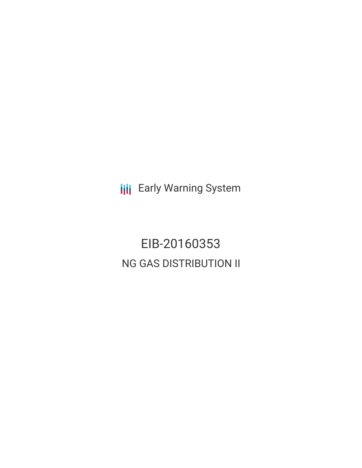**III** Early Warning System

EIB-20160353 NG GAS DISTRIBUTION II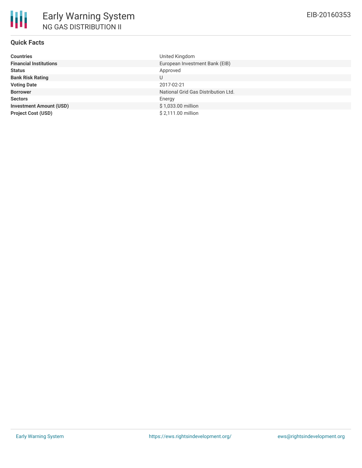# **Quick Facts**

| Countries                      | United Kingdom                      |
|--------------------------------|-------------------------------------|
| <b>Financial Institutions</b>  | European Investment Bank (EIB)      |
| Status                         | Approved                            |
| <b>Bank Risk Rating</b>        |                                     |
| <b>Voting Date</b>             | 2017-02-21                          |
| <b>Borrower</b>                | National Grid Gas Distribution Ltd. |
| <b>Sectors</b>                 | Energy                              |
| <b>Investment Amount (USD)</b> | \$1,033.00 million                  |
| <b>Project Cost (USD)</b>      | \$2,111.00 million                  |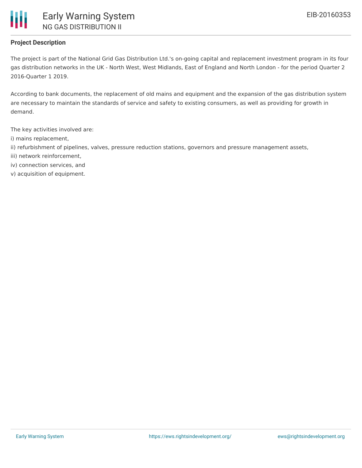

## **Project Description**

The project is part of the National Grid Gas Distribution Ltd.'s on-going capital and replacement investment program in its four gas distribution networks in the UK - North West, West Midlands, East of England and North London - for the period Quarter 2 2016-Quarter 1 2019.

According to bank documents, the replacement of old mains and equipment and the expansion of the gas distribution system are necessary to maintain the standards of service and safety to existing consumers, as well as providing for growth in demand.

The key activities involved are:

- i) mains replacement,
- ii) refurbishment of pipelines, valves, pressure reduction stations, governors and pressure management assets,
- iii) network reinforcement,
- iv) connection services, and
- v) acquisition of equipment.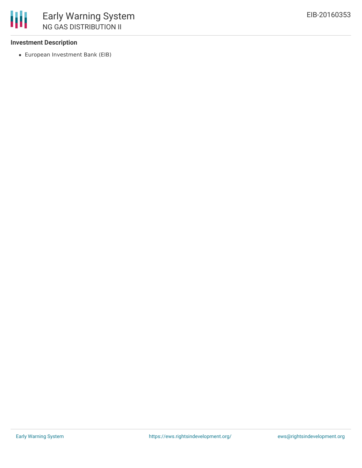## **Investment Description**

European Investment Bank (EIB)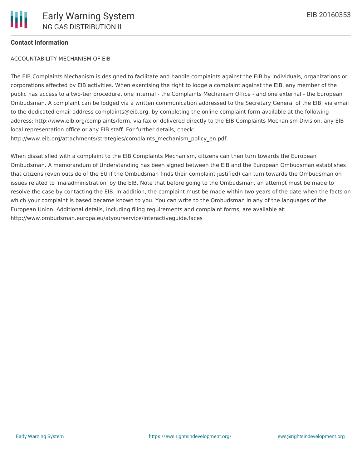### **Contact Information**

#### ACCOUNTABILITY MECHANISM OF EIB

The EIB Complaints Mechanism is designed to facilitate and handle complaints against the EIB by individuals, organizations or corporations affected by EIB activities. When exercising the right to lodge a complaint against the EIB, any member of the public has access to a two-tier procedure, one internal - the Complaints Mechanism Office - and one external - the European Ombudsman. A complaint can be lodged via a written communication addressed to the Secretary General of the EIB, via email to the dedicated email address complaints@eib.org, by completing the online complaint form available at the following address: http://www.eib.org/complaints/form, via fax or delivered directly to the EIB Complaints Mechanism Division, any EIB local representation office or any EIB staff. For further details, check: http://www.eib.org/attachments/strategies/complaints\_mechanism\_policy\_en.pdf

When dissatisfied with a complaint to the EIB Complaints Mechanism, citizens can then turn towards the European Ombudsman. A memorandum of Understanding has been signed between the EIB and the European Ombudsman establishes that citizens (even outside of the EU if the Ombudsman finds their complaint justified) can turn towards the Ombudsman on issues related to 'maladministration' by the EIB. Note that before going to the Ombudsman, an attempt must be made to resolve the case by contacting the EIB. In addition, the complaint must be made within two years of the date when the facts on which your complaint is based became known to you. You can write to the Ombudsman in any of the languages of the European Union. Additional details, including filing requirements and complaint forms, are available at: http://www.ombudsman.europa.eu/atyourservice/interactiveguide.faces